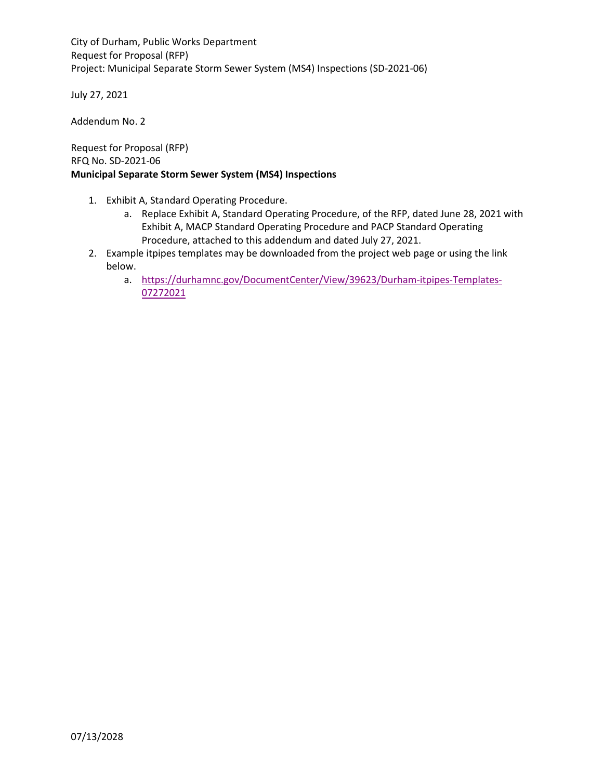City of Durham, Public Works Department Request for Proposal (RFP) Project: Municipal Separate Storm Sewer System (MS4) Inspections (SD-2021-06)

July 27, 2021

Addendum No. 2

Request for Proposal (RFP) RFQ No. SD-2021-06 **Municipal Separate Storm Sewer System (MS4) Inspections**

- 1. Exhibit A, Standard Operating Procedure.
	- a. Replace Exhibit A, Standard Operating Procedure, of the RFP, dated June 28, 2021 with Exhibit A, MACP Standard Operating Procedure and PACP Standard Operating Procedure, attached to this addendum and dated July 27, 2021.
- 2. Example itpipes templates may be downloaded from the project web page or using the link below.
	- a. [https://durhamnc.gov/DocumentCenter/View/39623/Durham-itpipes-Templates-](https://durhamnc.gov/DocumentCenter/View/39623/Durham-itpipes-Templates-07272021)[07272021](https://durhamnc.gov/DocumentCenter/View/39623/Durham-itpipes-Templates-07272021)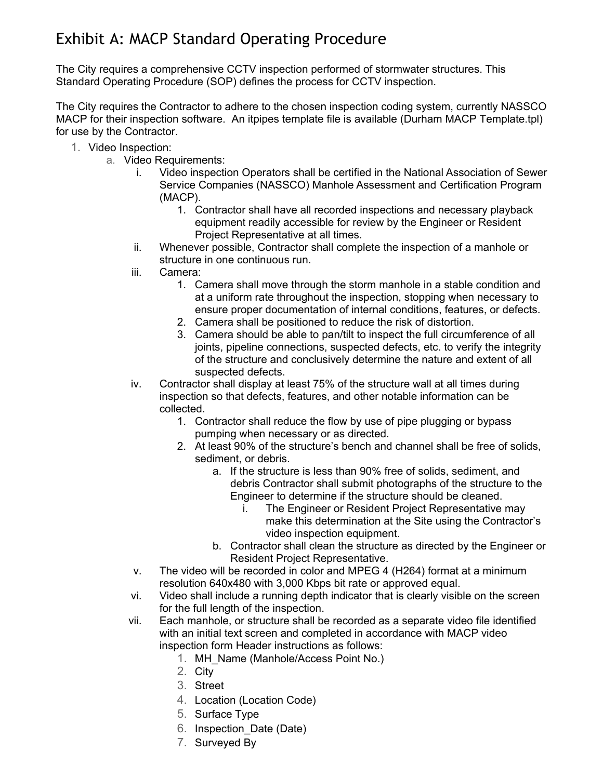# Exhibit A: MACP Standard Operating Procedure

The City requires a comprehensive CCTV inspection performed of stormwater structures. This Standard Operating Procedure (SOP) defines the process for CCTV inspection.

The City requires the Contractor to adhere to the chosen inspection coding system, currently NASSCO MACP for their inspection software. An itpipes template file is available (Durham MACP Template.tpl) for use by the Contractor.

- 1. Video Inspection:
	- a. Video Requirements:
		- i. Video inspection Operators shall be certified in the National Association of Sewer Service Companies (NASSCO) Manhole Assessment and Certification Program (MACP).
			- 1. Contractor shall have all recorded inspections and necessary playback equipment readily accessible for review by the Engineer or Resident Project Representative at all times.
		- ii. Whenever possible, Contractor shall complete the inspection of a manhole or structure in one continuous run.
		- iii. Camera:
			- 1. Camera shall move through the storm manhole in a stable condition and at a uniform rate throughout the inspection, stopping when necessary to ensure proper documentation of internal conditions, features, or defects.
			- 2. Camera shall be positioned to reduce the risk of distortion.
			- 3. Camera should be able to pan/tilt to inspect the full circumference of all joints, pipeline connections, suspected defects, etc. to verify the integrity of the structure and conclusively determine the nature and extent of all suspected defects.
		- iv. Contractor shall display at least 75% of the structure wall at all times during inspection so that defects, features, and other notable information can be collected.
			- 1. Contractor shall reduce the flow by use of pipe plugging or bypass pumping when necessary or as directed.
			- 2. At least 90% of the structure's bench and channel shall be free of solids, sediment, or debris.
				- a. If the structure is less than 90% free of solids, sediment, and debris Contractor shall submit photographs of the structure to the Engineer to determine if the structure should be cleaned.
					- i. The Engineer or Resident Project Representative may make this determination at the Site using the Contractor's video inspection equipment.
				- b. Contractor shall clean the structure as directed by the Engineer or Resident Project Representative.
		- v. The video will be recorded in color and MPEG 4 (H264) format at a minimum resolution 640x480 with 3,000 Kbps bit rate or approved equal.
		- vi. Video shall include a running depth indicator that is clearly visible on the screen for the full length of the inspection.
		- vii. Each manhole, or structure shall be recorded as a separate video file identified with an initial text screen and completed in accordance with MACP video inspection form Header instructions as follows:
			- 1. MH\_Name (Manhole/Access Point No.)
			- 2. City
			- 3. Street
			- 4. Location (Location Code)
			- 5. Surface Type
			- 6. Inspection\_Date (Date)
			- 7. Surveyed By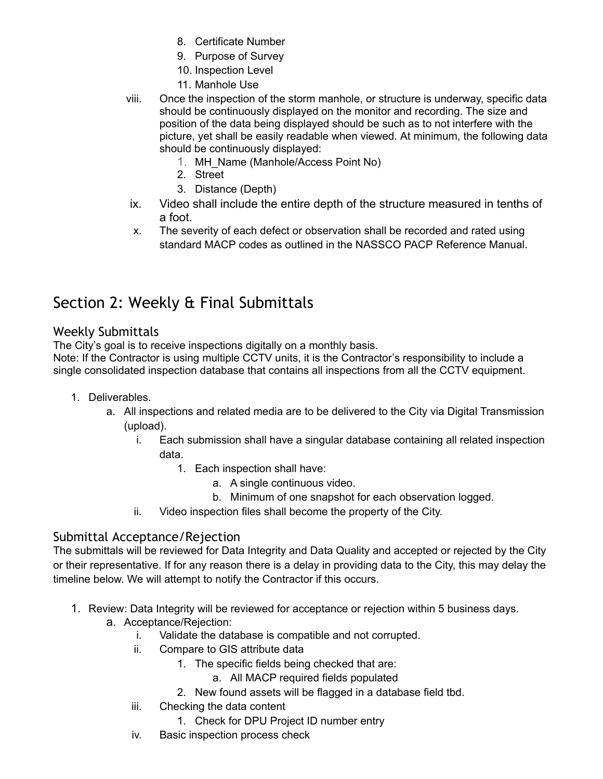- 8. Certificate Number
- 9. Purpose of Survey
- 10. Inspection Level
- 11. Manhole Use
- viii. Once the inspection of the storm manhole, or structure is underway, specific data should be continuously displayed on the monitor and recording. The size and position of the data being displayed should be such as to not interfere with the picture, yet shall be easily readable when viewed. At minimum, the following data should be continuously displayed:
	- 1. MH\_Name (Manhole/Access Point No)
	- 2. Street
	- 3. Distance (Depth)
- ix. Video shall include the entire depth of the structure measured in tenths of a foot.
- x. The severity of each defect or observation shall be recorded and rated using standard MACP codes as outlined in the NASSCO PACP Reference Manual.

# Section 2: Weekly & Final Submittals

### Weekly Submittals

The City's goal is to receive inspections digitally on a monthly basis.

Note: If the Contractor is using multiple CCTV units, it is the Contractor's responsibility to include a single consolidated inspection database that contains all inspections from all the CCTV equipment.

- 1. Deliverables.
	- a. All inspections and related media are to be delivered to the City via Digital Transmission (upload).
		- i. Each submission shall have a singular database containing all related inspection data.
			- 1. Each inspection shall have:
				- a. A single continuous video.
				- b. Minimum of one snapshot for each observation logged.
		- ii. Video inspection files shall become the property of the City.

### Submittal Acceptance/Rejection

The submittals will be reviewed for Data Integrity and Data Quality and accepted or rejected by the City or their representative. If for any reason there is a delay in providing data to the City, this may delay the timeline below. We will attempt to notify the Contractor if this occurs.

- 1. Review: Data Integrity will be reviewed for acceptance or rejection within 5 business days.
	- a. Acceptance/Rejection:
		- i. Validate the database is compatible and not corrupted.
		- ii. Compare to GIS attribute data
			- 1. The specific fields being checked that are:
				- a. All MACP required fields populated
			- 2. New found assets will be flagged in a database field tbd.
		- iii. Checking the data content
			- 1. Check for DPU Project ID number entry
		- iv. Basic inspection process check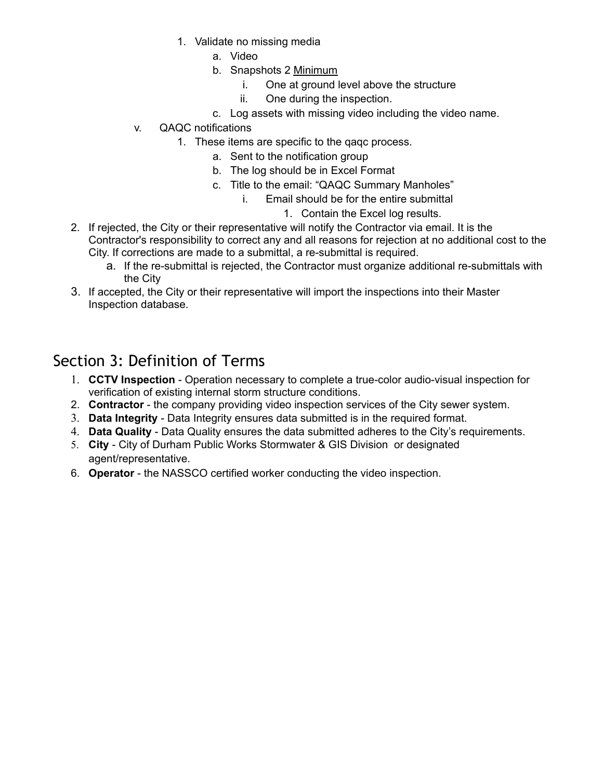- 1. Validate no missing media
	- a. Video
	- b. Snapshots 2 Minimum
		- i. One at ground level above the structure
		- ii. One during the inspection.
	- c. Log assets with missing video including the video name.
- v. QAQC notifications
	- 1. These items are specific to the qaqc process.
		- a. Sent to the notification group
		- b. The log should be in Excel Format
		- c. Title to the email: "QAQC Summary Manholes"
			- i. Email should be for the entire submittal
				- 1. Contain the Excel log results.
- 2. If rejected, the City or their representative will notify the Contractor via email. It is the Contractor's responsibility to correct any and all reasons for rejection at no additional cost to the City. If corrections are made to a submittal, a re-submittal is required.
	- a. If the re-submittal is rejected, the Contractor must organize additional re-submittals with the City
- 3. If accepted, the City or their representative will import the inspections into their Master Inspection database.

### Section 3: Definition of Terms

- 1. **CCTV Inspection** Operation necessary to complete a true-color audio-visual inspection for verification of existing internal storm structure conditions.
- 2. **Contractor** the company providing video inspection services of the City sewer system.
- 3. **Data Integrity** Data Integrity ensures data submitted is in the required format.
- 4. **Data Quality** Data Quality ensures the data submitted adheres to the City's requirements.
- 5. **City** City of Durham Public Works Stormwater & GIS Division or designated agent/representative.
- 6. **Operator** the NASSCO certified worker conducting the video inspection.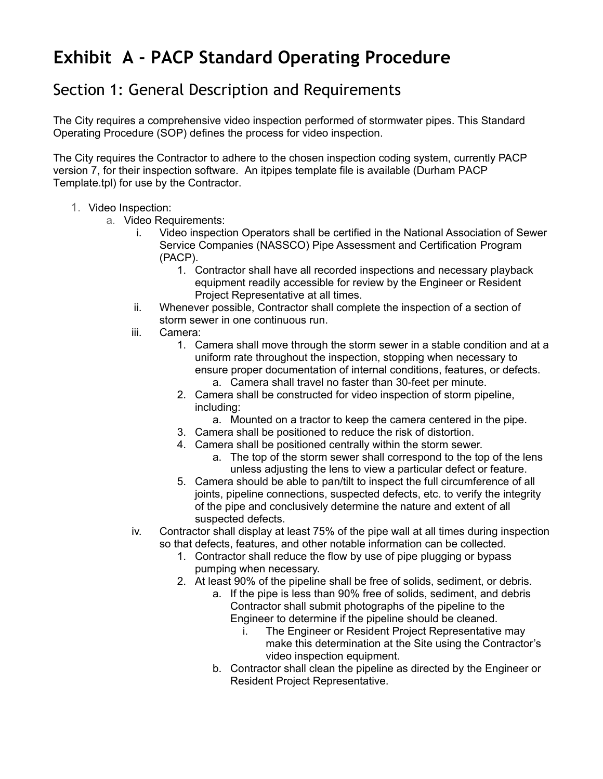# **Exhibit A - PACP Standard Operating Procedure**

### Section 1: General Description and Requirements

The City requires a comprehensive video inspection performed of stormwater pipes. This Standard Operating Procedure (SOP) defines the process for video inspection.

The City requires the Contractor to adhere to the chosen inspection coding system, currently PACP version 7, for their inspection software. An itpipes template file is available (Durham PACP Template.tpl) for use by the Contractor.

#### 1. Video Inspection:

- a. Video Requirements:
	- i. Video inspection Operators shall be certified in the National Association of Sewer Service Companies (NASSCO) Pipe Assessment and Certification Program (PACP).
		- 1. Contractor shall have all recorded inspections and necessary playback equipment readily accessible for review by the Engineer or Resident Project Representative at all times.
	- ii. Whenever possible, Contractor shall complete the inspection of a section of storm sewer in one continuous run.
	- iii. Camera:
		- 1. Camera shall move through the storm sewer in a stable condition and at a uniform rate throughout the inspection, stopping when necessary to ensure proper documentation of internal conditions, features, or defects.
			- a. Camera shall travel no faster than 30-feet per minute.
		- 2. Camera shall be constructed for video inspection of storm pipeline, including:
			- a. Mounted on a tractor to keep the camera centered in the pipe.
		- 3. Camera shall be positioned to reduce the risk of distortion.
		- 4. Camera shall be positioned centrally within the storm sewer.
			- a. The top of the storm sewer shall correspond to the top of the lens unless adjusting the lens to view a particular defect or feature.
		- 5. Camera should be able to pan/tilt to inspect the full circumference of all joints, pipeline connections, suspected defects, etc. to verify the integrity of the pipe and conclusively determine the nature and extent of all suspected defects.
	- iv. Contractor shall display at least 75% of the pipe wall at all times during inspection so that defects, features, and other notable information can be collected.
		- 1. Contractor shall reduce the flow by use of pipe plugging or bypass pumping when necessary.
		- 2. At least 90% of the pipeline shall be free of solids, sediment, or debris.
			- a. If the pipe is less than 90% free of solids, sediment, and debris Contractor shall submit photographs of the pipeline to the Engineer to determine if the pipeline should be cleaned.
				- i. The Engineer or Resident Project Representative may make this determination at the Site using the Contractor's video inspection equipment.
			- b. Contractor shall clean the pipeline as directed by the Engineer or Resident Project Representative.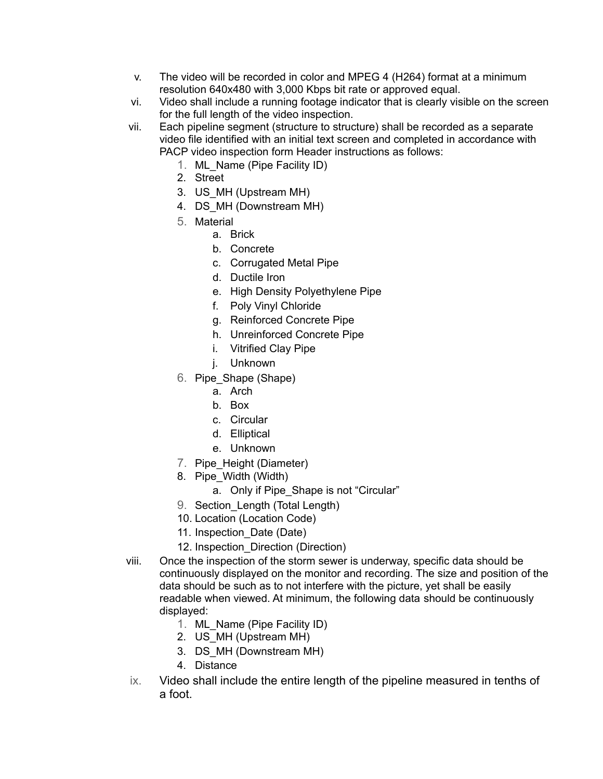- v. The video will be recorded in color and MPEG 4 (H264) format at a minimum resolution 640x480 with 3,000 Kbps bit rate or approved equal.
- vi. Video shall include a running footage indicator that is clearly visible on the screen for the full length of the video inspection.
- vii. Each pipeline segment (structure to structure) shall be recorded as a separate video file identified with an initial text screen and completed in accordance with PACP video inspection form Header instructions as follows:
	- 1. ML\_Name (Pipe Facility ID)
	- 2. Street
	- 3. US\_MH (Upstream MH)
	- 4. DS MH (Downstream MH)
	- 5. Material
		- a. Brick
		- b. Concrete
		- c. Corrugated Metal Pipe
		- d. Ductile Iron
		- e. High Density Polyethylene Pipe
		- f. Poly Vinyl Chloride
		- g. Reinforced Concrete Pipe
		- h. Unreinforced Concrete Pipe
		- i. Vitrified Clay Pipe
		- j. Unknown
	- 6. Pipe\_Shape (Shape)
		- a. Arch
		- b. Box
		- c. Circular
		- d. Elliptical
		- e. Unknown
	- 7. Pipe\_Height (Diameter)
	- 8. Pipe\_Width (Width)
		- a. Only if Pipe Shape is not "Circular"
	- 9. Section Length (Total Length)
	- 10. Location (Location Code)
	- 11. Inspection\_Date (Date)
	- 12. Inspection Direction (Direction)
- viii. Once the inspection of the storm sewer is underway, specific data should be continuously displayed on the monitor and recording. The size and position of the data should be such as to not interfere with the picture, yet shall be easily readable when viewed. At minimum, the following data should be continuously displayed:
	- 1. ML\_Name (Pipe Facility ID)
	- 2. US\_MH (Upstream MH)
	- 3. DS\_MH (Downstream MH)
	- 4. Distance
- ix. Video shall include the entire length of the pipeline measured in tenths of a foot.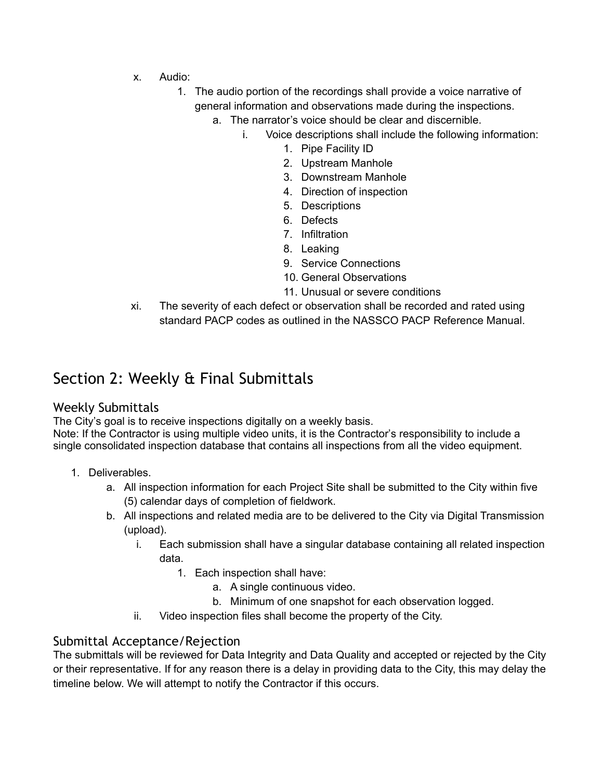- x. Audio:
	- 1. The audio portion of the recordings shall provide a voice narrative of general information and observations made during the inspections.
		- a. The narrator's voice should be clear and discernible.
			- i. Voice descriptions shall include the following information:
				- 1. Pipe Facility ID
				- 2. Upstream Manhole
				- 3. Downstream Manhole
				- 4. Direction of inspection
				- 5. Descriptions
				- 6. Defects
				- 7. Infiltration
				- 8. Leaking
				- 9. Service Connections
				- 10. General Observations
				- 11. Unusual or severe conditions
- xi. The severity of each defect or observation shall be recorded and rated using standard PACP codes as outlined in the NASSCO PACP Reference Manual.

### Section 2: Weekly & Final Submittals

#### Weekly Submittals

The City's goal is to receive inspections digitally on a weekly basis.

Note: If the Contractor is using multiple video units, it is the Contractor's responsibility to include a single consolidated inspection database that contains all inspections from all the video equipment.

- 1. Deliverables.
	- a. All inspection information for each Project Site shall be submitted to the City within five (5) calendar days of completion of fieldwork.
	- b. All inspections and related media are to be delivered to the City via Digital Transmission (upload).
		- i. Each submission shall have a singular database containing all related inspection data.
			- 1. Each inspection shall have:
				- a. A single continuous video.
				- b. Minimum of one snapshot for each observation logged.
		- ii. Video inspection files shall become the property of the City.

#### Submittal Acceptance/Rejection

The submittals will be reviewed for Data Integrity and Data Quality and accepted or rejected by the City or their representative. If for any reason there is a delay in providing data to the City, this may delay the timeline below. We will attempt to notify the Contractor if this occurs.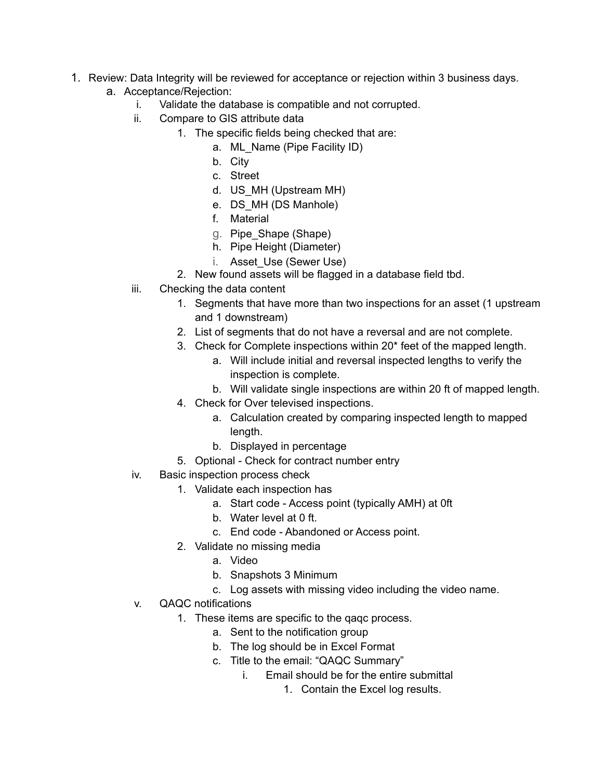- 1. Review: Data Integrity will be reviewed for acceptance or rejection within 3 business days.
	- a. Acceptance/Rejection:
		- i. Validate the database is compatible and not corrupted.
		- ii. Compare to GIS attribute data
			- 1. The specific fields being checked that are:
				- a. ML\_Name (Pipe Facility ID)
				- b. City
				- c. Street
				- d. US\_MH (Upstream MH)
				- e. DS\_MH (DS Manhole)
				- f. Material
				- g. Pipe\_Shape (Shape)
				- h. Pipe Height (Diameter)
				- i. Asset\_Use (Sewer Use)
			- 2. New found assets will be flagged in a database field tbd.
		- iii. Checking the data content
			- 1. Segments that have more than two inspections for an asset (1 upstream and 1 downstream)
			- 2. List of segments that do not have a reversal and are not complete.
			- 3. Check for Complete inspections within 20\* feet of the mapped length.
				- a. Will include initial and reversal inspected lengths to verify the inspection is complete.
				- b. Will validate single inspections are within 20 ft of mapped length.
			- 4. Check for Over televised inspections.
				- a. Calculation created by comparing inspected length to mapped length.
				- b. Displayed in percentage
			- 5. Optional Check for contract number entry
		- iv. Basic inspection process check
			- 1. Validate each inspection has
				- a. Start code Access point (typically AMH) at 0ft
				- b. Water level at 0 ft.
					- c. End code Abandoned or Access point.
			- 2. Validate no missing media
				- a. Video
				- b. Snapshots 3 Minimum
				- c. Log assets with missing video including the video name.
		- v. QAQC notifications
			- 1. These items are specific to the qaqc process.
				- a. Sent to the notification group
				- b. The log should be in Excel Format
				- c. Title to the email: "QAQC Summary"
					- i. Email should be for the entire submittal
						- 1. Contain the Excel log results.